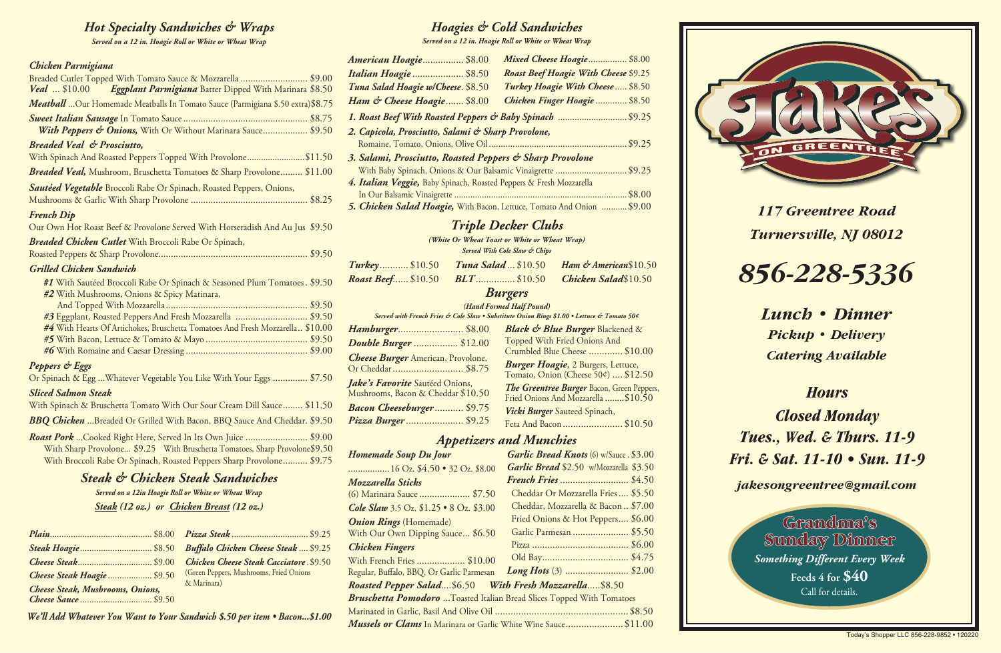*117 Greentree Road Turnersville, NJ 08012*

# *856-228-5336*

*Lunch • Dinner Pickup • Delivery Catering Available*

# *Hours*

*Closed Monday Tues., Wed. & Thurs. 11-9 Fri. & Sat. 11-10 • Sun. 11-9*

*jakesongreentree@gmail.com*

## *Hoagies & Cold Sandwiches*

*Served on a 12 in. Hoagie Roll or White or Wheat Wrap*

| American Hoagie \$8.00                                              | Mixed Cheese Hoagie \$8.00                                             |
|---------------------------------------------------------------------|------------------------------------------------------------------------|
| <b>Italian Hoagie  \$8.50</b>                                       | <b>Roast Beef Hoagie With Cheese \$9.25</b>                            |
| Tuna Salad Hoagie w/Cheese. \$8.50                                  | Turkey Hoagie With Cheese \$8.50                                       |
| Ham & Cheese Hoagie \$8.00                                          | Chicken Finger Hoagie  \$8.50                                          |
|                                                                     | 1. Roast Beef With Roasted Peppers & Baby Spinach  \$9.25              |
| 2. Capicola, Prosciutto, Salami & Sharp Provolone,                  |                                                                        |
|                                                                     |                                                                        |
| 3. Salami, Prosciutto, Roasted Peppers & Sharp Provolone            |                                                                        |
|                                                                     | With Baby Spinach, Onions & Our Balsamic Vinaigrette \$9.25            |
| 4. Italian Veggie, Baby Spinach, Roasted Peppers & Fresh Mozzarella |                                                                        |
|                                                                     |                                                                        |
|                                                                     | 5. Chicken Salad Hoagie, With Bacon, Lettuce, Tomato And Onion  \$9.00 |

# *Triple Decker Clubs*

*(White Or Wheat Toast or White or Wheat Wrap)*

| <b>Served With Cole Slaw &amp; Chips</b> |  |
|------------------------------------------|--|
|------------------------------------------|--|

| <b>Turkey</b> \$10.50 Tuna Salad  \$10.50 Ham & American \$10.50 |  |
|------------------------------------------------------------------|--|
| <b>Roast Beef \$10.50 BLT \$10.50 Chicken Salad\$10.50</b>       |  |
|                                                                  |  |

#### *Burgers*

*(Hand Formed Half Pound)*

*Served with French Fries & Cole Slaw • Substitute Onion Rings \$1.00 • Lettuce & Tomato 50¢*

| Hamburger \$8.00                          | Black & Blue Burger Blackened &                               |
|-------------------------------------------|---------------------------------------------------------------|
| <b>Double Burger </b> \$12.00             | Topped With Fried Onions And<br>Crumbled Blue Cheese  \$10.00 |
| <b>Cheese Burger</b> American, Provolone, | Burger Hoagie, 2 Burgers, Lettuce,                            |
| Or Cheddar \$8.75                         | Tomato, Onion (Cheese 50¢)  \$12.50                           |
| Jake's Favorite Sautéed Onions,           | The Greentree Burger Bacon, Green Peppers,                    |
| Mushrooms, Bacon & Cheddar \$10.50        | Fried Onions And Mozzarella  \$10.50                          |
| Bacon Cheeseburger \$9.75                 | Vicki Burger Sauteed Spinach,                                 |
| Pizza Burger  \$9.25                      | Feta And Bacon\$10.50                                         |

#### *Appetizers and Munchies*

| <b>Homemade Soup Du Jour</b>                                                 | <b>Garlic Bread Knots</b> (6) w/Sauce . \$3.00 |
|------------------------------------------------------------------------------|------------------------------------------------|
| $\ldots$ 16 Oz. \$4.50 • 32 Oz. \$8.00                                       | Garlic Bread \$2.50 w/Mozzarella \$3.50        |
| Mozzarella Sticks                                                            |                                                |
| (6) Marinara Sauce  \$7.50                                                   | Cheddar Or Mozzarella Fries \$5.50             |
| <b>Cole Slaw</b> 3.5 Oz. $$1.25 \cdot 8$ Oz. $$3.00$                         | Cheddar, Mozzarella & Bacon  \$7.00            |
| <b>Onion Rings</b> (Homemade)                                                | Fried Onions & Hot Peppers \$6.00              |
| With Our Own Dipping Sauce \$6.50                                            | Garlic Parmesan  \$5.50                        |
| <b>Chicken Fingers</b>                                                       |                                                |
| With French Fries  \$10.00                                                   |                                                |
| Regular, Buffalo, BBQ, Or Garlic Parmesan                                    | <b>Long Hots</b> (3)  \$2.00                   |
| Roasted Pepper Salad\$6.50    With Fresh Mozzarella\$8.50                    |                                                |
| <b>Bruschetta Pomodoro</b> Toasted Italian Bread Slices Topped With Tomatoes |                                                |
|                                                                              |                                                |

*Mussels or Clams* In Marinara or Garlic White Wine Sauce.......................\$11.00



Grandma's Sunday Dinner *Something Different Every Week* **Feeds 4 for \$40** Call for details.

#### *Chicken Parmigiana*

| Breaded Cutlet Topped With Tomato Sauce & Mozzarella  \$9.00<br>Veal  \$10.00 Eggplant Parmigiana Batter Dipped With Marinara \$8.50                                                                                         |
|------------------------------------------------------------------------------------------------------------------------------------------------------------------------------------------------------------------------------|
| Meatball Our Homemade Meatballs In Tomato Sauce (Parmigiana \$.50 extra) \$8.75                                                                                                                                              |
| <b>With Peppers &amp; Onions,</b> With Or Without Marinara Sauce \$9.50                                                                                                                                                      |
| <b>Breaded Veal &amp; Prosciutto,</b>                                                                                                                                                                                        |
| With Spinach And Roasted Peppers Topped With Provolone\$11.50                                                                                                                                                                |
| <b>Breaded Veal,</b> Mushroom, Bruschetta Tomatoes & Sharp Provolone \$11.00                                                                                                                                                 |
| <b>Sautéed Vegetable</b> Broccoli Rabe Or Spinach, Roasted Peppers, Onions,                                                                                                                                                  |
| <b>French Dip</b>                                                                                                                                                                                                            |
| Our Own Hot Roast Beef & Provolone Served With Horseradish And Au Jus \$9.50                                                                                                                                                 |
| <b>Breaded Chicken Cutlet With Broccoli Rabe Or Spinach,</b>                                                                                                                                                                 |
|                                                                                                                                                                                                                              |
| <b>Grilled Chicken Sandwich</b>                                                                                                                                                                                              |
| #1 With Sautéed Broccoli Rabe Or Spinach & Seasoned Plum Tomatoes . \$9.50<br>#2 With Mushrooms, Onions & Spicy Marinara,                                                                                                    |
| #3 Eggplant, Roasted Peppers And Fresh Mozzarella   \$9.50<br>#4 With Hearts Of Artichokes, Bruschetta Tomatoes And Fresh Mozzarella \$10.00                                                                                 |
| Peppers & Eggs                                                                                                                                                                                                               |
| Or Spinach & Egg  Whatever Vegetable You Like With Your Eggs  \$7.50                                                                                                                                                         |
| <b>Sliced Salmon Steak</b>                                                                                                                                                                                                   |
| With Spinach & Bruschetta Tomato With Our Sour Cream Dill Sauce \$11.50                                                                                                                                                      |
| <b>BBQ Chicken</b> Breaded Or Grilled With Bacon, BBQ Sauce And Cheddar. \$9.50                                                                                                                                              |
| <b>Roast Pork</b> Cooked Right Here, Served In Its Own Juice  \$9.00<br>With Sharp Provolone \$9.25 With Bruschetta Tomatoes, Sharp Provolone\$9.50<br>With Broccoli Rabe Or Spinach, Roasted Peppers Sharp Provolone \$9.75 |
| <b>Steak &amp; Chicken Steak Sandwiches</b><br>Served on a 12in Hoagie Roll or White or Wheat Wrap                                                                                                                           |
| Steak (12 oz.) or Chicken Breast (12 oz.)                                                                                                                                                                                    |

| Cheese Steak\$9.00                      |  |
|-----------------------------------------|--|
| Cheese Steak Hoagie  \$9.50             |  |
| <b>Cheese Steak, Mushrooms, Onions,</b> |  |
| Cheese Sauce  \$9.50                    |  |

| <b>Buffalo Chicken Cheese Steak \$9.25</b>     |  |
|------------------------------------------------|--|
| <b>Chicken Cheese Steak Cacciatore. \$9.50</b> |  |
| (Green Peppers, Mushrooms, Fried Onions        |  |
| & Marinara)                                    |  |

*We'll Add Whatever You Want to Your Sandwich \$.50 per item • Bacon...\$1.00* 

#### *Hot Specialty Sandwiches & Wraps*

*Served on a 12 in. Hoagie Roll or White or Wheat Wrap*